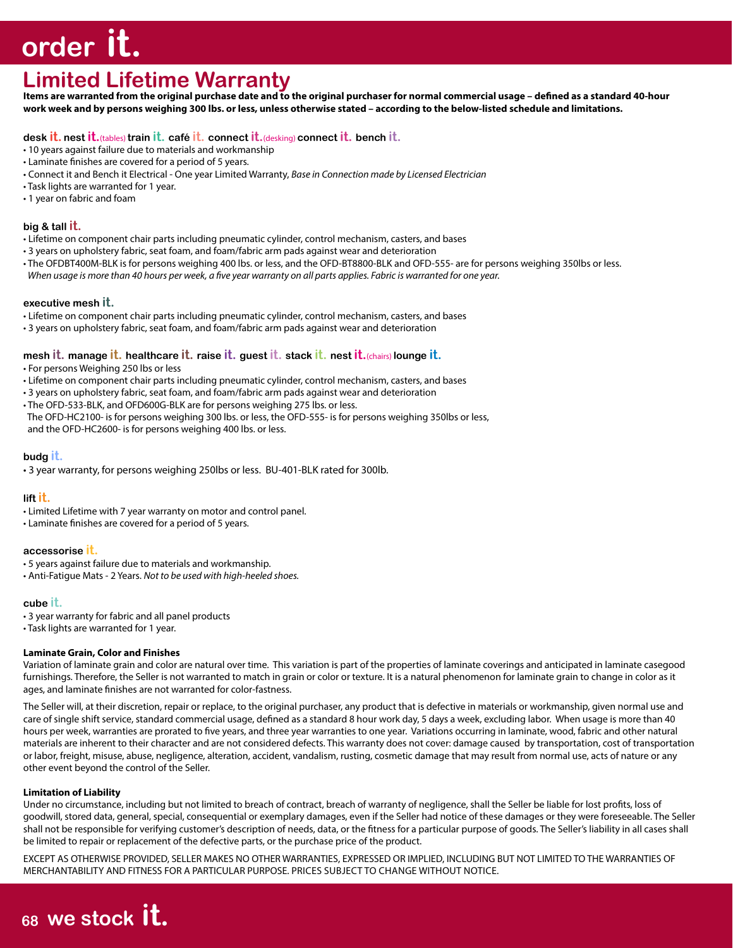# **order it.**

# **Limited Lifetime Warranty**

**Items are warranted from the original purchase date and to the original purchaser for normal commercial usage – defined as a standard 40-hour work week and by persons weighing 300 lbs. or less, unless otherwise stated – according to the below-listed schedule and limitations.**

# **desk it. nest it.**(tables) **train it. café it. connect it.**(desking) **connect it. bench it.**

- 10 years against failure due to materials and workmanship
- Laminate finishes are covered for a period of 5 years.
- Connect it and Bench it Electrical One year Limited Warranty, *Base in Connection made by Licensed Electrician*
- Task lights are warranted for 1 year.
- 1 year on fabric and foam

# **big & tall it.**

- Lifetime on component chair parts including pneumatic cylinder, control mechanism, casters, and bases
- 3 years on upholstery fabric, seat foam, and foam/fabric arm pads against wear and deterioration
- The OFDBT400M-BLK is for persons weighing 400 lbs. or less, and the OFD-BT8800-BLK and OFD-555- are for persons weighing 350lbs or less.
- *When usage is more than 40 hours per week, a five year warranty on all parts applies. Fabric is warranted for one year.*

# **executive mesh it.**

- Lifetime on component chair parts including pneumatic cylinder, control mechanism, casters, and bases
- 3 years on upholstery fabric, seat foam, and foam/fabric arm pads against wear and deterioration

# **mesh it. manage it. healthcare it. raise it. guest it. stack it. nest it.**(chairs) **lounge it.**

- For persons Weighing 250 lbs or less
- Lifetime on component chair parts including pneumatic cylinder, control mechanism, casters, and bases
- 3 years on upholstery fabric, seat foam, and foam/fabric arm pads against wear and deterioration
- The OFD-533-BLK, and OFD600G-BLK are for persons weighing 275 lbs. or less.
- The OFD-HC2100- is for persons weighing 300 lbs. or less, the OFD-555- is for persons weighing 350lbs or less, and the OFD-HC2600- is for persons weighing 400 lbs. or less.

# **budg it.**

• 3 year warranty, for persons weighing 250lbs or less. BU-401-BLK rated for 300lb.

# **lift it.**

- Limited Lifetime with 7 year warranty on motor and control panel.
- Laminate finishes are covered for a period of 5 years.

# **accessorise it.**

- 5 years against failure due to materials and workmanship.
- Anti-Fatigue Mats 2 Years. *Not to be used with high-heeled shoes.*

# **cube it.**

- 3 year warranty for fabric and all panel products
- Task lights are warranted for 1 year.

# **Laminate Grain, Color and Finishes**

Variation of laminate grain and color are natural over time. This variation is part of the properties of laminate coverings and anticipated in laminate casegood furnishings. Therefore, the Seller is not warranted to match in grain or color or texture. It is a natural phenomenon for laminate grain to change in color as it ages, and laminate finishes are not warranted for color-fastness.

The Seller will, at their discretion, repair or replace, to the original purchaser, any product that is defective in materials or workmanship, given normal use and care of single shift service, standard commercial usage, defined as a standard 8 hour work day, 5 days a week, excluding labor. When usage is more than 40 hours per week, warranties are prorated to five years, and three year warranties to one year. Variations occurring in laminate, wood, fabric and other natural materials are inherent to their character and are not considered defects. This warranty does not cover: damage caused by transportation, cost of transportation or labor, freight, misuse, abuse, negligence, alteration, accident, vandalism, rusting, cosmetic damage that may result from normal use, acts of nature or any other event beyond the control of the Seller.

# **Limitation of Liability**

Under no circumstance, including but not limited to breach of contract, breach of warranty of negligence, shall the Seller be liable for lost profits, loss of goodwill, stored data, general, special, consequential or exemplary damages, even if the Seller had notice of these damages or they were foreseeable. The Seller shall not be responsible for verifying customer's description of needs, data, or the fitness for a particular purpose of goods. The Seller's liability in all cases shall be limited to repair or replacement of the defective parts, or the purchase price of the product.

EXCEPT AS OTHERWISE PROVIDED, SELLER MAKES NO OTHER WARRANTIES, EXPRESSED OR IMPLIED, INCLUDING BUT NOT LIMITED TO THE WARRANTIES OF MERCHANTABILITY AND FITNESS FOR A PARTICULAR PURPOSE. PRICES SUBJECT TO CHANGE WITHOUT NOTICE.